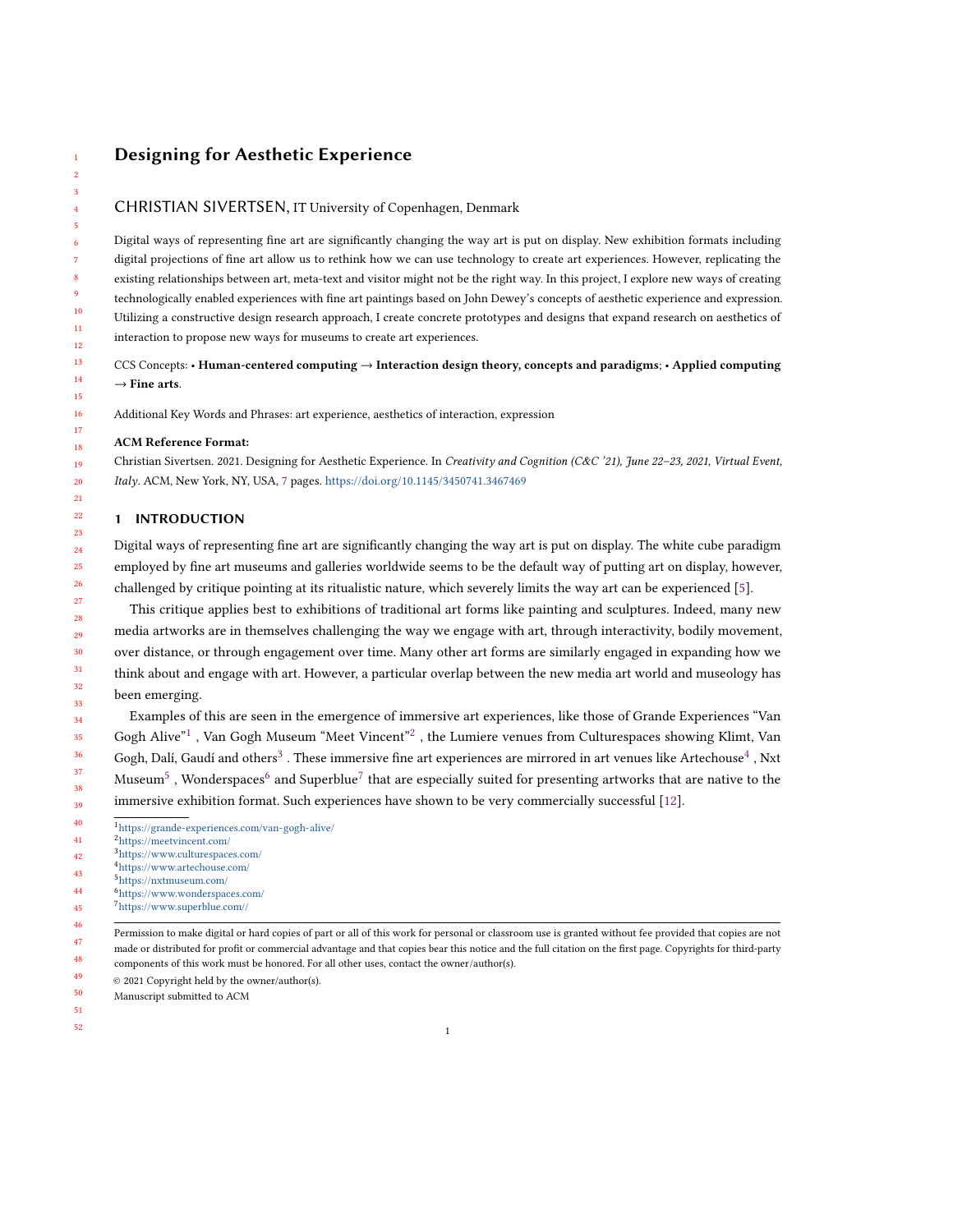# Designing for Aesthetic Experience

## CHRISTIAN SIVERTSEN, IT University of Copenhagen, Denmark

Digital ways of representing fine art are significantly changing the way art is put on display. New exhibition formats including digital projections of fine art allow us to rethink how we can use technology to create art experiences. However, replicating the existing relationships between art, meta-text and visitor might not be the right way. In this project, I explore new ways of creating technologically enabled experiences with fine art paintings based on John Dewey's concepts of aesthetic experience and expression. Utilizing a constructive design research approach, I create concrete prototypes and designs that expand research on aesthetics of interaction to propose new ways for museums to create art experiences.

CCS Concepts: • Human-centered computing → Interaction design theory, concepts and paradigms; • Applied computing  $\rightarrow$  Fine arts.

Additional Key Words and Phrases: art experience, aesthetics of interaction, expression

#### ACM Reference Format:

Christian Sivertsen. 2021. Designing for Aesthetic Experience. In Creativity and Cognition (C&C '21), June 22–23, 2021, Virtual Event, Italy. ACM, New York, NY, USA, [7](#page-6-0) pages. <https://doi.org/10.1145/3450741.3467469>

## 1 INTRODUCTION

Digital ways of representing fine art are significantly changing the way art is put on display. The white cube paradigm employed by fine art museums and galleries worldwide seems to be the default way of putting art on display, however, challenged by critique pointing at its ritualistic nature, which severely limits the way art can be experienced [\[5\]](#page-5-0).

This critique applies best to exhibitions of traditional art forms like painting and sculptures. Indeed, many new media artworks are in themselves challenging the way we engage with art, through interactivity, bodily movement, over distance, or through engagement over time. Many other art forms are similarly engaged in expanding how we think about and engage with art. However, a particular overlap between the new media art world and museology has been emerging.

Examples of this are seen in the emergence of immersive art experiences, like those of Grande Experiences "Van Gogh Alive"<sup>[1](#page-0-0)</sup>, Van Gogh Museum "Meet Vincent"<sup>[2](#page-0-1)</sup>, the Lumiere venues from Culturespaces showing Klimt, Van Gogh, Dalí, Gaudí and others $^3$  $^3$  . These immersive fine art experiences are mirrored in art venues like Artechouse $^4$  $^4$  , Nxt Museum $^5$  $^5$  , Wonderspaces $^6$  $^6$  and Superblue $^7$  $^7$  that are especially suited for presenting artworks that are native to the immersive exhibition format. Such experiences have shown to be very commercially successful [\[12\]](#page-6-1).

- <span id="page-0-1"></span> <https://meetvincent.com/>
- <span id="page-0-3"></span><span id="page-0-2"></span> <https://www.culturespaces.com/> <https://www.artechouse.com/>
- <span id="page-0-4"></span> <https://nxtmuseum.com/>
- <span id="page-0-5"></span> <https://www.wonderspaces.com/>
- <span id="page-0-6"></span> <https://www.superblue.com//>
- 
- Permission to make digital or hard copies of part or all of this work for personal or classroom use is granted without fee provided that copies are not made or distributed for profit or commercial advantage and that copies bear this notice and the full citation on the first page. Copyrights for third-party

- components of this work must be honored. For all other uses, contact the owner/author(s).
- © 2021 Copyright held by the owner/author(s).
- Manuscript submitted to ACM
- 

<span id="page-0-0"></span>  $1\,\mathrm{https://grande-experiences.com/van-gogh-alive/}$  $1\,\mathrm{https://grande-experiences.com/van-gogh-alive/}$  $1\,\mathrm{https://grande-experiences.com/van-gogh-alive/}$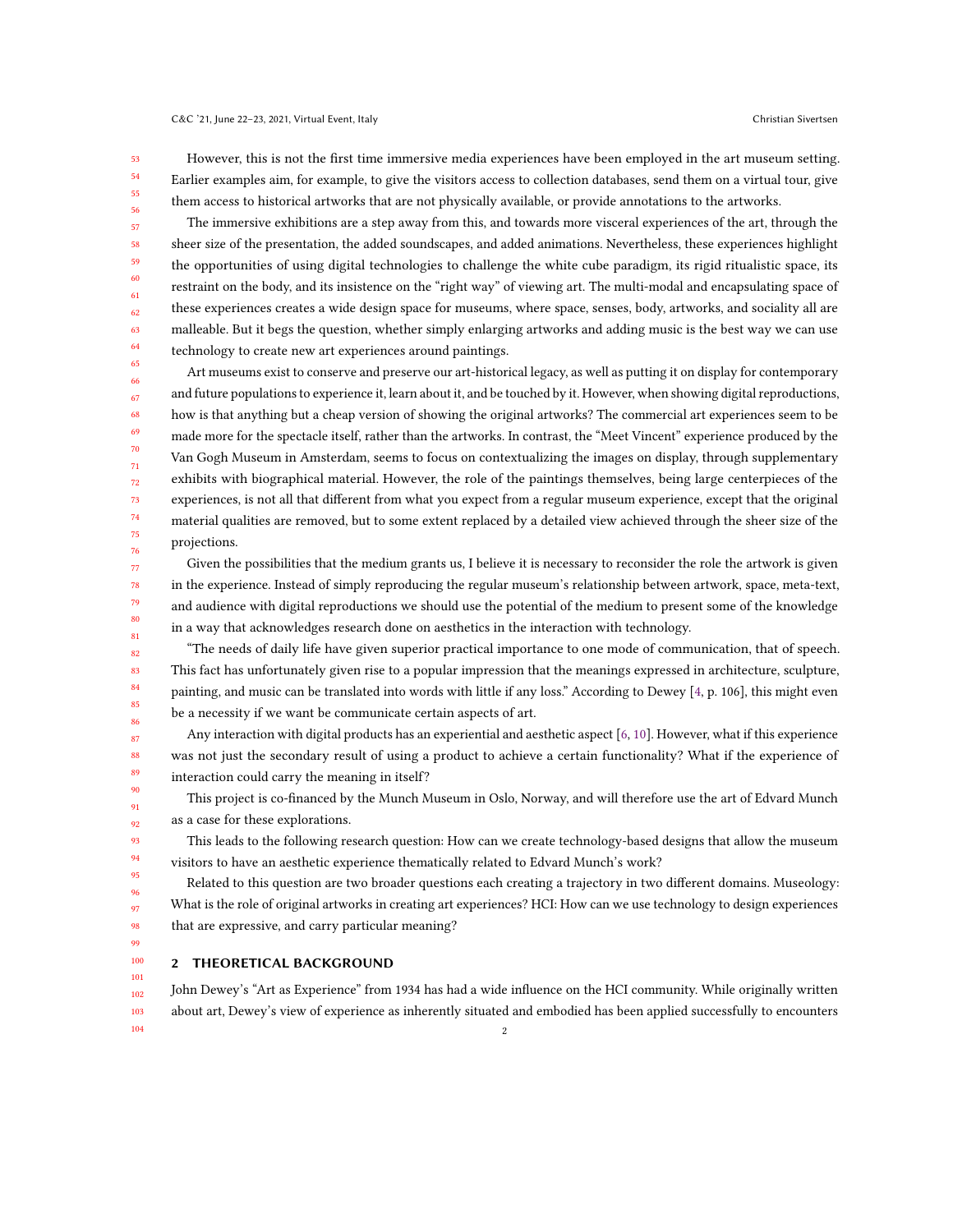C&C '21, June 22–23, 2021, Virtual Event, Italy Christian Sivertsen

53 54 55 56 However, this is not the first time immersive media experiences have been employed in the art museum setting. Earlier examples aim, for example, to give the visitors access to collection databases, send them on a virtual tour, give them access to historical artworks that are not physically available, or provide annotations to the artworks.

The immersive exhibitions are a step away from this, and towards more visceral experiences of the art, through the sheer size of the presentation, the added soundscapes, and added animations. Nevertheless, these experiences highlight the opportunities of using digital technologies to challenge the white cube paradigm, its rigid ritualistic space, its restraint on the body, and its insistence on the "right way" of viewing art. The multi-modal and encapsulating space of these experiences creates a wide design space for museums, where space, senses, body, artworks, and sociality all are malleable. But it begs the question, whether simply enlarging artworks and adding music is the best way we can use technology to create new art experiences around paintings.

Art museums exist to conserve and preserve our art-historical legacy, as well as putting it on display for contemporary and future populations to experience it, learn about it, and be touched by it. However, when showing digital reproductions, how is that anything but a cheap version of showing the original artworks? The commercial art experiences seem to be made more for the spectacle itself, rather than the artworks. In contrast, the "Meet Vincent" experience produced by the Van Gogh Museum in Amsterdam, seems to focus on contextualizing the images on display, through supplementary exhibits with biographical material. However, the role of the paintings themselves, being large centerpieces of the experiences, is not all that different from what you expect from a regular museum experience, except that the original material qualities are removed, but to some extent replaced by a detailed view achieved through the sheer size of the projections.

Given the possibilities that the medium grants us, I believe it is necessary to reconsider the role the artwork is given in the experience. Instead of simply reproducing the regular museum's relationship between artwork, space, meta-text, and audience with digital reproductions we should use the potential of the medium to present some of the knowledge in a way that acknowledges research done on aesthetics in the interaction with technology.

83 "The needs of daily life have given superior practical importance to one mode of communication, that of speech. This fact has unfortunately given rise to a popular impression that the meanings expressed in architecture, sculpture, painting, and music can be translated into words with little if any loss." According to Dewey [\[4,](#page-5-1) p. 106], this might even be a necessity if we want be communicate certain aspects of art.

Any interaction with digital products has an experiential and aesthetic aspect [\[6,](#page-5-2) [10\]](#page-6-2). However, what if this experience was not just the secondary result of using a product to achieve a certain functionality? What if the experience of interaction could carry the meaning in itself?

This project is co-financed by the Munch Museum in Oslo, Norway, and will therefore use the art of Edvard Munch as a case for these explorations.

This leads to the following research question: How can we create technology-based designs that allow the museum visitors to have an aesthetic experience thematically related to Edvard Munch's work?

Related to this question are two broader questions each creating a trajectory in two different domains. Museology: What is the role of original artworks in creating art experiences? HCI: How can we use technology to design experiences that are expressive, and carry particular meaning?

### 2 THEORETICAL BACKGROUND

102 103 104 John Dewey's "Art as Experience" from 1934 has had a wide influence on the HCI community. While originally written about art, Dewey's view of experience as inherently situated and embodied has been applied successfully to encounters 2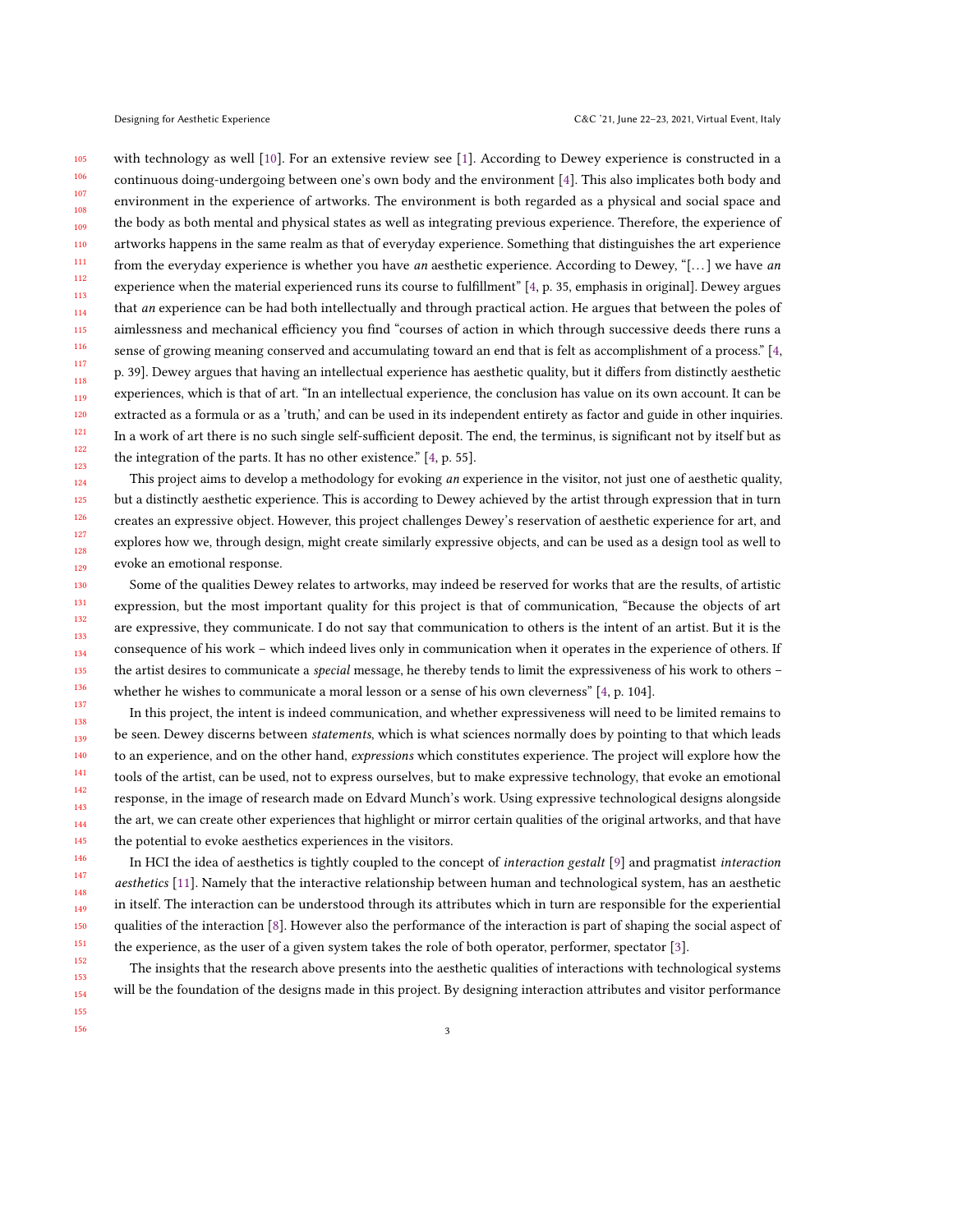105 106 107 108 109 110 111 112 113 114 115 116 117 118 119 120 121 122 123 with technology as well [\[10\]](#page-6-2). For an extensive review see [\[1\]](#page-5-3). According to Dewey experience is constructed in a continuous doing-undergoing between one's own body and the environment [\[4\]](#page-5-1). This also implicates both body and environment in the experience of artworks. The environment is both regarded as a physical and social space and the body as both mental and physical states as well as integrating previous experience. Therefore, the experience of artworks happens in the same realm as that of everyday experience. Something that distinguishes the art experience from the everyday experience is whether you have an aesthetic experience. According to Dewey, "[...] we have an experience when the material experienced runs its course to fulfillment" [\[4,](#page-5-1) p. 35, emphasis in original]. Dewey argues that an experience can be had both intellectually and through practical action. He argues that between the poles of aimlessness and mechanical efficiency you find "courses of action in which through successive deeds there runs a sense of growing meaning conserved and accumulating toward an end that is felt as accomplishment of a process." [\[4,](#page-5-1) p. 39]. Dewey argues that having an intellectual experience has aesthetic quality, but it differs from distinctly aesthetic experiences, which is that of art. "In an intellectual experience, the conclusion has value on its own account. It can be extracted as a formula or as a 'truth,' and can be used in its independent entirety as factor and guide in other inquiries. In a work of art there is no such single self-sufficient deposit. The end, the terminus, is significant not by itself but as the integration of the parts. It has no other existence." [\[4,](#page-5-1) p. 55].

This project aims to develop a methodology for evoking an experience in the visitor, not just one of aesthetic quality, but a distinctly aesthetic experience. This is according to Dewey achieved by the artist through expression that in turn creates an expressive object. However, this project challenges Dewey's reservation of aesthetic experience for art, and explores how we, through design, might create similarly expressive objects, and can be used as a design tool as well to evoke an emotional response.

Some of the qualities Dewey relates to artworks, may indeed be reserved for works that are the results, of artistic expression, but the most important quality for this project is that of communication, "Because the objects of art are expressive, they communicate. I do not say that communication to others is the intent of an artist. But it is the consequence of his work – which indeed lives only in communication when it operates in the experience of others. If the artist desires to communicate a *special* message, he thereby tends to limit the expressiveness of his work to others – whether he wishes to communicate a moral lesson or a sense of his own cleverness" [\[4,](#page-5-1) p. 104].

In this project, the intent is indeed communication, and whether expressiveness will need to be limited remains to be seen. Dewey discerns between statements, which is what sciences normally does by pointing to that which leads to an experience, and on the other hand, expressions which constitutes experience. The project will explore how the tools of the artist, can be used, not to express ourselves, but to make expressive technology, that evoke an emotional response, in the image of research made on Edvard Munch's work. Using expressive technological designs alongside the art, we can create other experiences that highlight or mirror certain qualities of the original artworks, and that have the potential to evoke aesthetics experiences in the visitors.

In HCI the idea of aesthetics is tightly coupled to the concept of interaction gestalt [\[9\]](#page-6-3) and pragmatist interaction aesthetics [\[11\]](#page-6-4). Namely that the interactive relationship between human and technological system, has an aesthetic in itself. The interaction can be understood through its attributes which in turn are responsible for the experiential qualities of the interaction [\[8\]](#page-5-4). However also the performance of the interaction is part of shaping the social aspect of the experience, as the user of a given system takes the role of both operator, performer, spectator [\[3\]](#page-5-5).

The insights that the research above presents into the aesthetic qualities of interactions with technological systems will be the foundation of the designs made in this project. By designing interaction attributes and visitor performance

154 155 156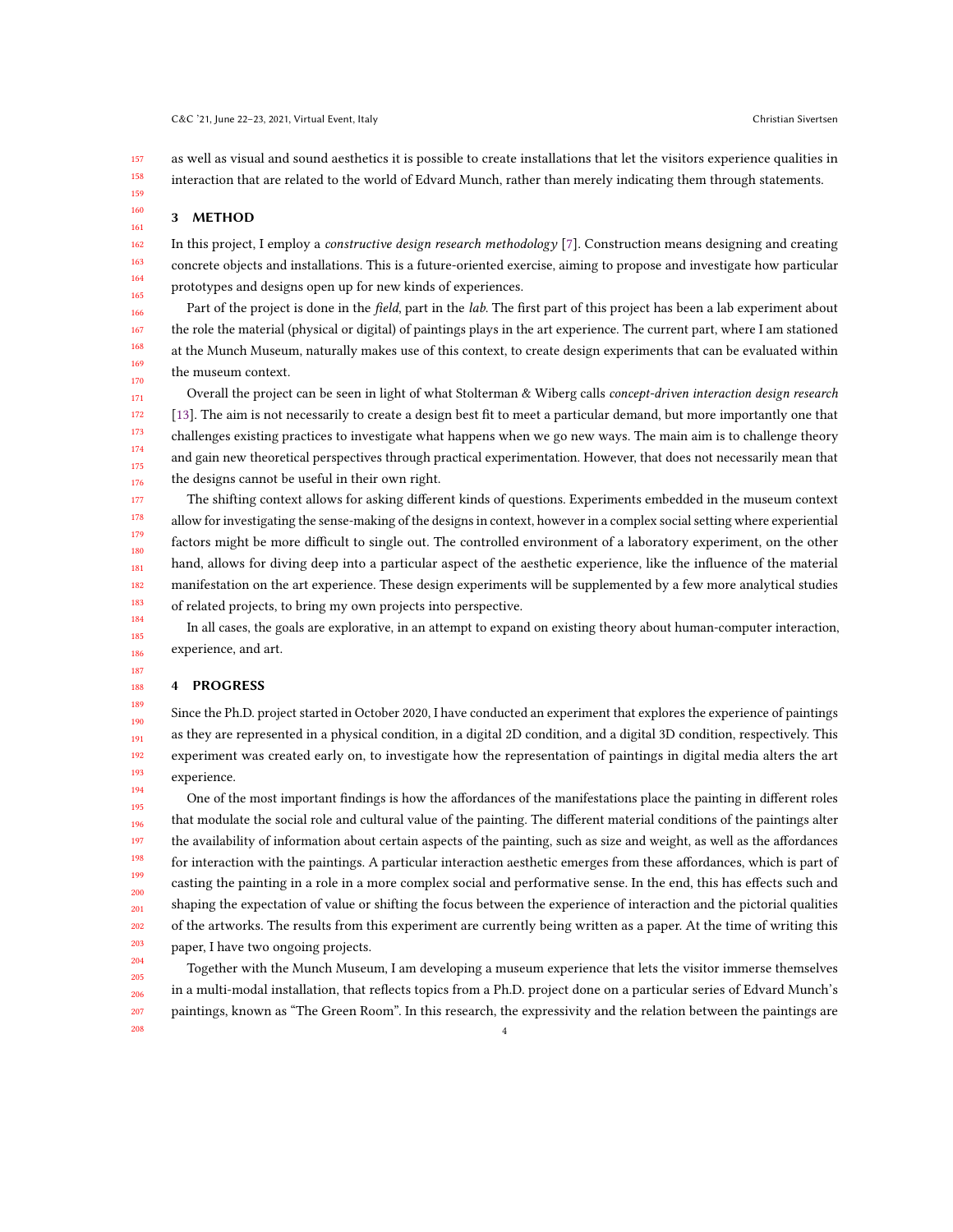157 158 159 as well as visual and sound aesthetics it is possible to create installations that let the visitors experience qualities in interaction that are related to the world of Edvard Munch, rather than merely indicating them through statements.

#### 3 METHOD

167

174 175 176

187 188 189

208

In this project, I employ a constructive design research methodology [\[7\]](#page-5-6). Construction means designing and creating concrete objects and installations. This is a future-oriented exercise, aiming to propose and investigate how particular prototypes and designs open up for new kinds of experiences.

166 168 169 170 Part of the project is done in the field, part in the lab. The first part of this project has been a lab experiment about the role the material (physical or digital) of paintings plays in the art experience. The current part, where I am stationed at the Munch Museum, naturally makes use of this context, to create design experiments that can be evaluated within the museum context.

171 172 173 Overall the project can be seen in light of what Stolterman & Wiberg calls concept-driven interaction design research [\[13\]](#page-6-5). The aim is not necessarily to create a design best fit to meet a particular demand, but more importantly one that challenges existing practices to investigate what happens when we go new ways. The main aim is to challenge theory and gain new theoretical perspectives through practical experimentation. However, that does not necessarily mean that the designs cannot be useful in their own right.

177 178 179 180 181 182 183 The shifting context allows for asking different kinds of questions. Experiments embedded in the museum context allow for investigating the sense-making of the designs in context, however in a complex social setting where experiential factors might be more difficult to single out. The controlled environment of a laboratory experiment, on the other hand, allows for diving deep into a particular aspect of the aesthetic experience, like the influence of the material manifestation on the art experience. These design experiments will be supplemented by a few more analytical studies of related projects, to bring my own projects into perspective.

184 185 186 In all cases, the goals are explorative, in an attempt to expand on existing theory about human-computer interaction, experience, and art.

## 4 PROGRESS

190 191 192 193 Since the Ph.D. project started in October 2020, I have conducted an experiment that explores the experience of paintings as they are represented in a physical condition, in a digital 2D condition, and a digital 3D condition, respectively. This experiment was created early on, to investigate how the representation of paintings in digital media alters the art experience.

194 195 196 197 198 199 200 201 202 203 204 One of the most important findings is how the affordances of the manifestations place the painting in different roles that modulate the social role and cultural value of the painting. The different material conditions of the paintings alter the availability of information about certain aspects of the painting, such as size and weight, as well as the affordances for interaction with the paintings. A particular interaction aesthetic emerges from these affordances, which is part of casting the painting in a role in a more complex social and performative sense. In the end, this has effects such and shaping the expectation of value or shifting the focus between the experience of interaction and the pictorial qualities of the artworks. The results from this experiment are currently being written as a paper. At the time of writing this paper, I have two ongoing projects.

205 206 207 Together with the Munch Museum, I am developing a museum experience that lets the visitor immerse themselves in a multi-modal installation, that reflects topics from a Ph.D. project done on a particular series of Edvard Munch's paintings, known as "The Green Room". In this research, the expressivity and the relation between the paintings are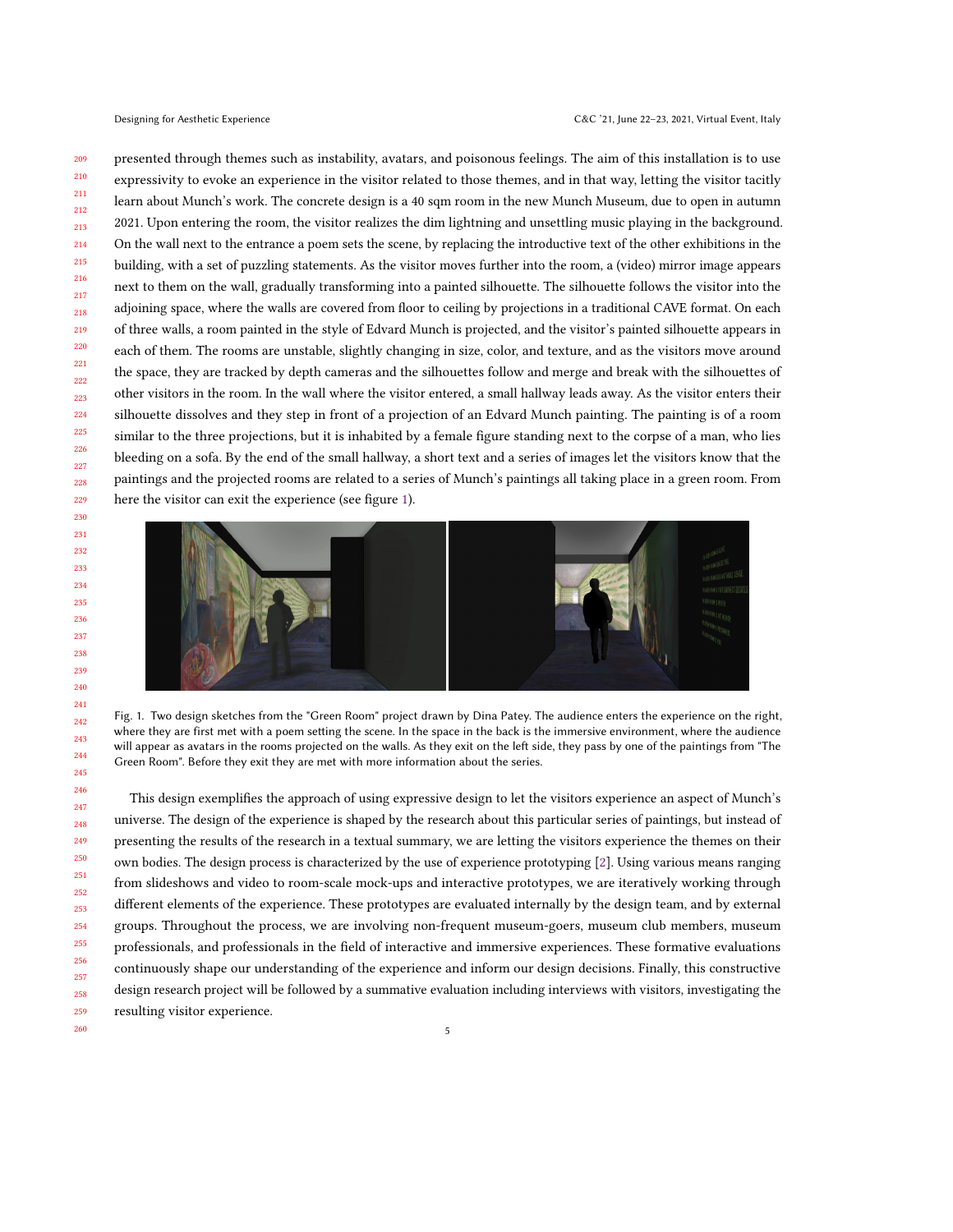presented through themes such as instability, avatars, and poisonous feelings. The aim of this installation is to use expressivity to evoke an experience in the visitor related to those themes, and in that way, letting the visitor tacitly learn about Munch's work. The concrete design is a 40 sqm room in the new Munch Museum, due to open in autumn 2021. Upon entering the room, the visitor realizes the dim lightning and unsettling music playing in the background. On the wall next to the entrance a poem sets the scene, by replacing the introductive text of the other exhibitions in the building, with a set of puzzling statements. As the visitor moves further into the room, a (video) mirror image appears next to them on the wall, gradually transforming into a painted silhouette. The silhouette follows the visitor into the adjoining space, where the walls are covered from floor to ceiling by projections in a traditional CAVE format. On each of three walls, a room painted in the style of Edvard Munch is projected, and the visitor's painted silhouette appears in each of them. The rooms are unstable, slightly changing in size, color, and texture, and as the visitors move around the space, they are tracked by depth cameras and the silhouettes follow and merge and break with the silhouettes of other visitors in the room. In the wall where the visitor entered, a small hallway leads away. As the visitor enters their silhouette dissolves and they step in front of a projection of an Edvard Munch painting. The painting is of a room similar to the three projections, but it is inhabited by a female figure standing next to the corpse of a man, who lies bleeding on a sofa. By the end of the small hallway, a short text and a series of images let the visitors know that the paintings and the projected rooms are related to a series of Munch's paintings all taking place in a green room. From here the visitor can exit the experience (see figure [1\)](#page-4-0).

<span id="page-4-0"></span>

Fig. 1. Two design sketches from the "Green Room" project drawn by Dina Patey. The audience enters the experience on the right, where they are first met with a poem setting the scene. In the space in the back is the immersive environment, where the audience will appear as avatars in the rooms projected on the walls. As they exit on the left side, they pass by one of the paintings from "The Green Room". Before they exit they are met with more information about the series.

This design exemplifies the approach of using expressive design to let the visitors experience an aspect of Munch's universe. The design of the experience is shaped by the research about this particular series of paintings, but instead of presenting the results of the research in a textual summary, we are letting the visitors experience the themes on their own bodies. The design process is characterized by the use of experience prototyping [\[2\]](#page-5-7). Using various means ranging from slideshows and video to room-scale mock-ups and interactive prototypes, we are iteratively working through different elements of the experience. These prototypes are evaluated internally by the design team, and by external groups. Throughout the process, we are involving non-frequent museum-goers, museum club members, museum professionals, and professionals in the field of interactive and immersive experiences. These formative evaluations continuously shape our understanding of the experience and inform our design decisions. Finally, this constructive design research project will be followed by a summative evaluation including interviews with visitors, investigating the resulting visitor experience.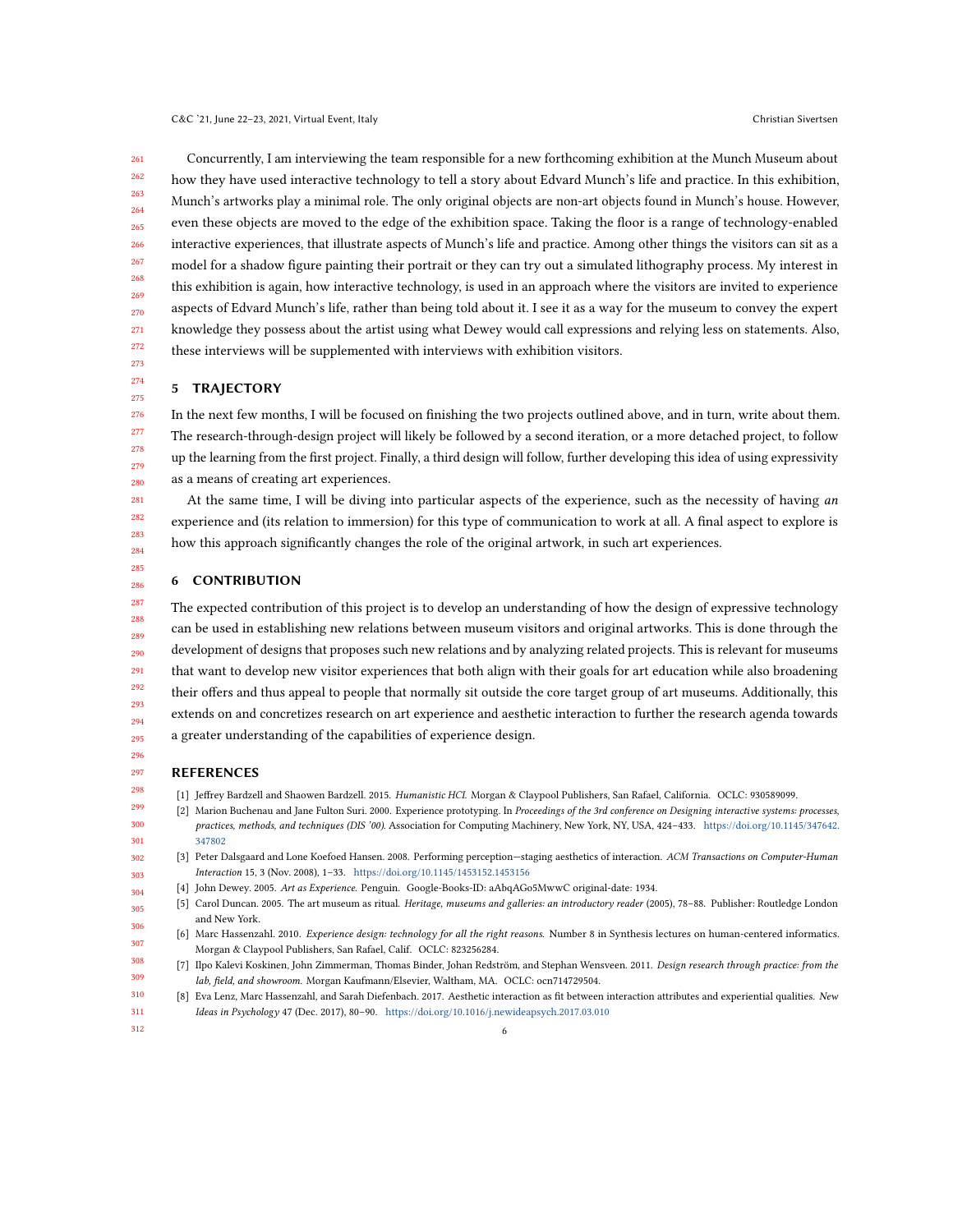261 262 263 264 265 266 267 268 269 270 271 272 Concurrently, I am interviewing the team responsible for a new forthcoming exhibition at the Munch Museum about how they have used interactive technology to tell a story about Edvard Munch's life and practice. In this exhibition, Munch's artworks play a minimal role. The only original objects are non-art objects found in Munch's house. However, even these objects are moved to the edge of the exhibition space. Taking the floor is a range of technology-enabled interactive experiences, that illustrate aspects of Munch's life and practice. Among other things the visitors can sit as a model for a shadow figure painting their portrait or they can try out a simulated lithography process. My interest in this exhibition is again, how interactive technology, is used in an approach where the visitors are invited to experience aspects of Edvard Munch's life, rather than being told about it. I see it as a way for the museum to convey the expert knowledge they possess about the artist using what Dewey would call expressions and relying less on statements. Also, these interviews will be supplemented with interviews with exhibition visitors.

### 5 TRAJECTORY

276 277 278 279 280 In the next few months, I will be focused on finishing the two projects outlined above, and in turn, write about them. The research-through-design project will likely be followed by a second iteration, or a more detached project, to follow up the learning from the first project. Finally, a third design will follow, further developing this idea of using expressivity as a means of creating art experiences.

At the same time, I will be diving into particular aspects of the experience, such as the necessity of having an experience and (its relation to immersion) for this type of communication to work at all. A final aspect to explore is how this approach significantly changes the role of the original artwork, in such art experiences.

#### 286 6 CONTRIBUTION

287 288 289 290 291 292 293 294 295 The expected contribution of this project is to develop an understanding of how the design of expressive technology can be used in establishing new relations between museum visitors and original artworks. This is done through the development of designs that proposes such new relations and by analyzing related projects. This is relevant for museums that want to develop new visitor experiences that both align with their goals for art education while also broadening their offers and thus appeal to people that normally sit outside the core target group of art museums. Additionally, this extends on and concretizes research on art experience and aesthetic interaction to further the research agenda towards a greater understanding of the capabilities of experience design.

296

298

<span id="page-5-5"></span>302 303 304

<span id="page-5-2"></span>307

273 274 275

#### 297 REFERENCES

- <span id="page-5-7"></span><span id="page-5-3"></span>[1] Jeffrey Bardzell and Shaowen Bardzell. 2015. Humanistic HCI. Morgan & Claypool Publishers, San Rafael, California. OCLC: 930589099.
- 299 300 301 [2] Marion Buchenau and Jane Fulton Suri. 2000. Experience prototyping. In Proceedings of the 3rd conference on Designing interactive systems: processes, practices, methods, and techniques (DIS '00). Association for Computing Machinery, New York, NY, USA, 424–433. [https://doi.org/10.1145/347642.](https://doi.org/10.1145/347642.347802) [347802](https://doi.org/10.1145/347642.347802)
	- [3] Peter Dalsgaard and Lone Koefoed Hansen. 2008. Performing perception—staging aesthetics of interaction. ACM Transactions on Computer-Human Interaction 15, 3 (Nov. 2008), 1–33. <https://doi.org/10.1145/1453152.1453156>
	- [4] John Dewey. 2005. Art as Experience. Penguin. Google-Books-ID: aAbqAGo5MwwC original-date: 1934.
- <span id="page-5-1"></span><span id="page-5-0"></span>305 306 [5] Carol Duncan. 2005. The art museum as ritual. Heritage, museums and galleries: an introductory reader (2005), 78–88. Publisher: Routledge London and New York.
	- [6] Marc Hassenzahl. 2010. Experience design: technology for all the right reasons. Number 8 in Synthesis lectures on human-centered informatics. Morgan & Claypool Publishers, San Rafael, Calif. OCLC: 823256284.
- <span id="page-5-6"></span>308 309 [7] Ilpo Kalevi Koskinen, John Zimmerman, Thomas Binder, Johan Redström, and Stephan Wensveen. 2011. Design research through practice: from the lab, field, and showroom. Morgan Kaufmann/Elsevier, Waltham, MA. OCLC: ocn714729504.
- <span id="page-5-4"></span>310 311 [8] Eva Lenz, Marc Hassenzahl, and Sarah Diefenbach. 2017. Aesthetic interaction as fit between interaction attributes and experiential qualities. New Ideas in Psychology 47 (Dec. 2017), 80–90. <https://doi.org/10.1016/j.newideapsych.2017.03.010>
- 312